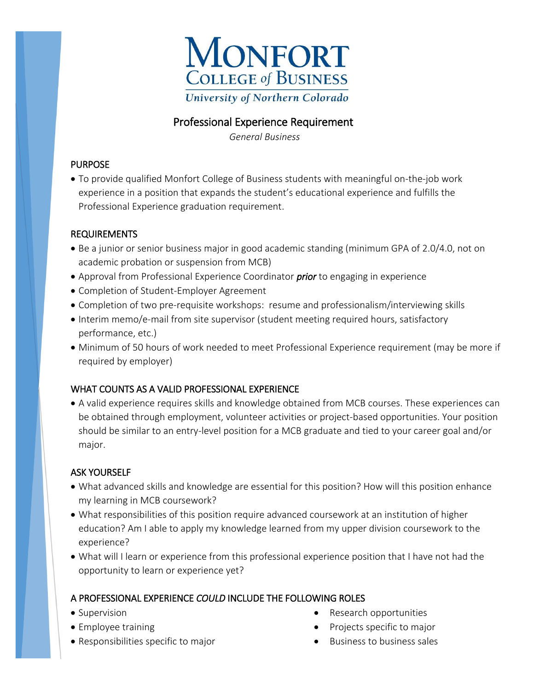

# Professional Experience Requirement

 *General Business* 

#### PURPOSE

 To provide qualified Monfort College of Business students with meaningful on-the-job work experience in a position that expands the student's educational experience and fulfills the Professional Experience graduation requirement.

#### REQUIREMENTS

- Be a junior or senior business major in good academic standing (minimum GPA of 2.0/4.0, not on academic probation or suspension from MCB)
- Approval from Professional Experience Coordinator *prior* to engaging in experience
- Completion of Student-Employer Agreement
- Completion of two pre-requisite workshops: resume and professionalism/interviewing skills
- Interim memo/e-mail from site supervisor (student meeting required hours, satisfactory performance, etc.)
- Minimum of 50 hours of work needed to meet Professional Experience requirement (may be more if required by employer)

# WHAT COUNTS AS A VALID PROFESSIONAL EXPERIENCE

 A valid experience requires skills and knowledge obtained from MCB courses. These experiences can be obtained through employment, volunteer activities or project-based opportunities. Your position should be similar to an entry-level position for a MCB graduate and tied to your career goal and/or major.

# ASK YOURSELF

- What advanced skills and knowledge are essential for this position? How will this position enhance my learning in MCB coursework?
- What responsibilities of this position require advanced coursework at an institution of higher education? Am I able to apply my knowledge learned from my upper division coursework to the experience?
- What will I learn or experience from this professional experience position that I have not had the opportunity to learn or experience yet?

# A PROFESSIONAL EXPERIENCE *COULD* INCLUDE THE FOLLOWING ROLES

- Supervision
- Employee training
- Responsibilities specific to major
- Research opportunities
- Projects specific to major
- $\bullet$  Business to business sales